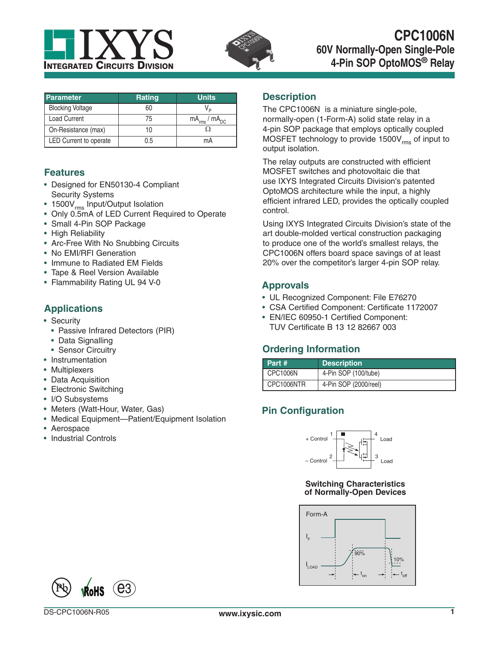



| <b>Parameter</b>        | <b>Rating</b> | <b>Units</b>           |
|-------------------------|---------------|------------------------|
| <b>Blocking Voltage</b> | 60            |                        |
| <b>Load Current</b>     | 75            | $mA_{rms}$ / $mA_{DC}$ |
| On-Resistance (max)     | 10            |                        |
| LED Current to operate  | 0.5           | mА                     |

#### **Features**

- Designed for EN50130-4 Compliant Security Systems
- 1500V<sub>rms</sub> Input/Output Isolation
- Only 0.5mA of LED Current Required to Operate
- Small 4-Pin SOP Package
- High Reliability
- Arc-Free With No Snubbing Circuits
- No EMI/RFI Generation
- Immune to Radiated EM Fields
- Tape & Reel Version Available
- Flammability Rating UL 94 V-0

#### **Applications**

- Security
	- Passive Infrared Detectors (PIR)
	- Data Signalling
	- Sensor Circuitry
- Instrumentation
- Multiplexers
- Data Acquisition
- Electronic Switching
- I/O Subsystems
- Meters (Watt-Hour, Water, Gas)
- Medical Equipment—Patient/Equipment Isolation
- Aerospace
- Industrial Controls

#### **Description**

The CPC1006N is a miniature single-pole, normally-open (1-Form-A) solid state relay in a 4-pin SOP package that employs optically coupled MOSFET technology to provide  $1500V_{rms}$  of input to output isolation.

The relay outputs are constructed with efficient MOSFET switches and photovoltaic die that use IXYS Integrated Circuits Division's patented OptoMOS architecture while the input, a highly efficient infrared LED, provides the optically coupled control.

Using IXYS Integrated Circuits Division's state of the art double-molded vertical construction packaging to produce one of the world's smallest relays, the CPC1006N offers board space savings of at least 20% over the competitor's larger 4-pin SOP relay.

#### **Approvals**

- UL Recognized Component: File E76270
- CSA Certified Component: Certificate 1172007
- EN/IEC 60950-1 Certified Component: TUV Certificate B 13 12 82667 003

### **Ordering Information**

| Part #          | <b>Description</b>    |
|-----------------|-----------------------|
| <b>CPC1006N</b> | 4-Pin SOP (100/tube)  |
| CPC1006NTR      | 4-Pin SOP (2000/reel) |

# **Pin Configuration**



#### **Switching Characteristics of Normally-Open Devices**



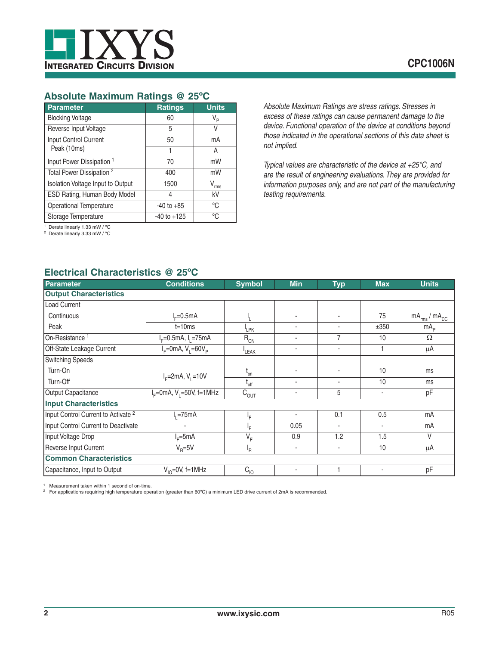

# **Absolute Maximum Ratings @ 25ºC**

| <b>Parameter</b>                     | <b>Ratings</b>  | <b>Units</b>   |
|--------------------------------------|-----------------|----------------|
| <b>Blocking Voltage</b>              | 60              | V <sub>P</sub> |
| Reverse Input Voltage                | 5               | V              |
| Input Control Current                | 50              | mA             |
| Peak (10ms)                          | 1               | A              |
| Input Power Dissipation <sup>1</sup> | 70              | mW             |
| Total Power Dissipation <sup>2</sup> | 400             | mW             |
| Isolation Voltage Input to Output    | 1500            | V<br>rms       |
| ESD Rating, Human Body Model         | 4               | kV             |
| Operational Temperature              | $-40$ to $+85$  | °C             |
| Storage Temperature                  | $-40$ to $+125$ | °C             |

1 Derate linearly 1.33 mW / ºC

2 Derate linearly 3.33 mW / ºC

# *excess of these ratings can cause permanent damage to the device. Functional operation of the device at conditions beyond those indicated in the operational sections of this data sheet is not implied.*

*Absolute Maximum Ratings are stress ratings. Stresses in* 

*Typical values are characteristic of the device at +25°C, and are the result of engineering evaluations. They are provided for information purposes only, and are not part of the manufacturing testing requirements.*

#### **Electrical Characteristics @ 25ºC**

| <b>Parameter</b>                               | <b>Conditions</b>             | <b>Symbol</b>    | <b>Min</b>     | <b>Typ</b>     | <b>Max</b> | <b>Units</b>           |
|------------------------------------------------|-------------------------------|------------------|----------------|----------------|------------|------------------------|
| <b>Output Characteristics</b>                  |                               |                  |                |                |            |                        |
| Load Current                                   |                               |                  |                |                |            |                        |
| Continuous                                     | $I_F = 0.5mA$                 |                  |                | $\blacksquare$ | 75         | $mA_{rms}$ / $mA_{DC}$ |
| Peak                                           | $t = 10ms$                    | <sup>I</sup> LPK | ٠              | $\blacksquare$ | ±350       | mA <sub>p</sub>        |
| On-Resistance <sup>1</sup>                     | $I_F = 0.5$ mA, $I_1 = 75$ mA | $R_{ON}$         | $\blacksquare$ | $\overline{7}$ | 10         | $\Omega$               |
| Off-State Leakage Current                      | $I_F = 0$ mA, $V_1 = 60V_p$   | LEAK             | ٠              | ٠              |            | μA                     |
| <b>Switching Speeds</b>                        |                               |                  |                |                |            |                        |
| Turn-On                                        | $I_F = 2mA, V_1 = 10V$        | $L_{on}$         |                |                | 10         | ms                     |
| Turn-Off                                       |                               | $I_{off}$        | $\blacksquare$ |                | 10         | ms                     |
| Output Capacitance                             | $IF=0mA, V1=50V, f=1MHz$      | $C_{OUT}$        | ٠              | 5              |            | pF                     |
| <b>Input Characteristics</b>                   |                               |                  |                |                |            |                        |
| Input Control Current to Activate <sup>2</sup> | $I1 = 75mA$                   | ŀF               | $\blacksquare$ | 0.1            | 0.5        | mA                     |
| Input Control Current to Deactivate            |                               | ١F               | 0.05           | ٠              | ٠          | mA                     |
| Input Voltage Drop                             | $I_F = 5mA$                   | $V_F$            | 0.9            | 1.2            | 1.5        | V                      |
| Reverse Input Current                          | $V_{\rm B} = 5V$              | ι <sub>R</sub>   | ٠              | ٠              | 10         | μA                     |
| <b>Common Characteristics</b>                  |                               |                  |                |                |            |                        |
| Capacitance, Input to Output                   | $V_{10} = 0V$ , f=1MHz        | $C_{10}$         | $\blacksquare$ |                | ٠          | pF                     |

1 Measurement taken within 1 second of on-time. 2 For applications requiring high temperature operation (greater than 60ºC) a minimum LED drive current of 2mA is recommended.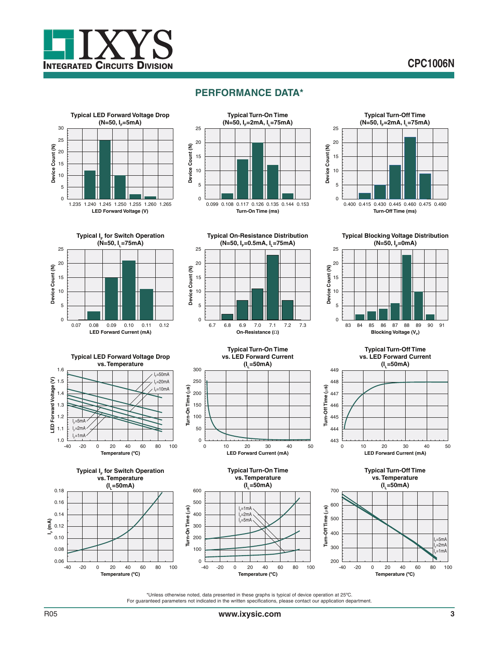

# **PERFORMANCE DATA\***







**Typical I<sub>F</sub> for Switch Operation (N=50, IL=75mA)** 25 20 Device Count (N) **Device Count (N)** 15 10 5  $\overline{0}$ 0.07 0.08 0.09 0.10 0.11 0.12 **LED Forward Current (mA)**



**Typical Blocking Voltage Distribution (N=50, I<sub>F</sub>=0mA)** 





**Temperature (ºC)**





**Typical Turn-On Time vs. Temperature (IL=50mA)** l<sub>F</sub>=1mA I .<br>I<sub>F</sub>=5mA  $=2mA$ **LED Forward Current (mA)**



**Typical Turn-Off Time vs. LED Forward Current**





\*Unless otherwise noted, data presented in these graphs is typical of device operation at 25ºC. For guaranteed parameters not indicated in the written specifications, please contact our application department.

**Temperature (ºC)** -40 -20 0 20 40 60 80 100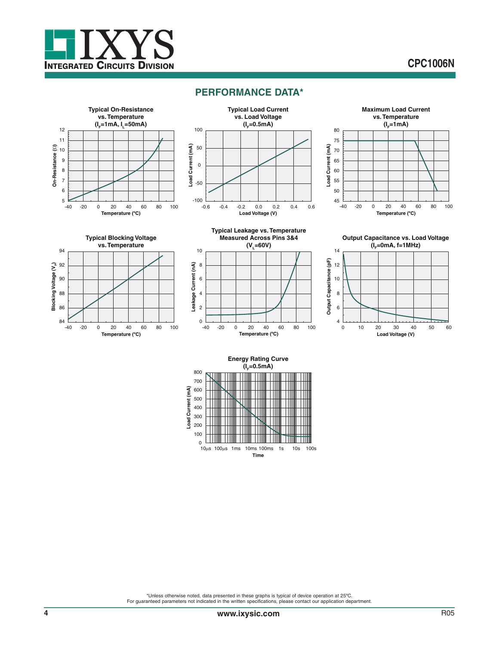

# **CPC1006N**

#### **PERFORMANCE DATA\***











10



**Output Capacitance vs. Load Voltage (IF=0mA, f=1MHz)**



#### **Energy Rating Curve**  $(I_0 = 0.5$ mA)



\*Unless otherwise noted, data presented in these graphs is typical of device operation at 25ºC. For guaranteed parameters not indicated in the written specifications, please contact our application department.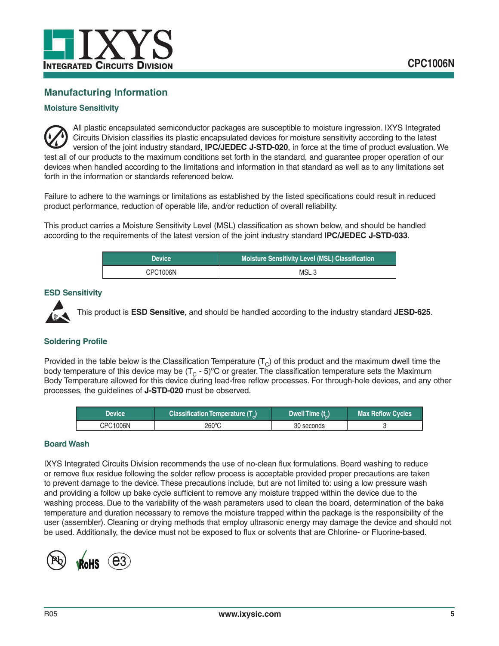

# **Manufacturing Information**

#### **Moisture Sensitivity**



All plastic encapsulated semiconductor packages are susceptible to moisture ingression. IXYS Integrated Circuits Division classifies its plastic encapsulated devices for moisture sensitivity according to the latest version of the joint industry standard, **IPC/JEDEC J-STD-020**, in force at the time of product evaluation. We test all of our products to the maximum conditions set forth in the standard, and guarantee proper operation of our devices when handled according to the limitations and information in that standard as well as to any limitations set forth in the information or standards referenced below.

Failure to adhere to the warnings or limitations as established by the listed specifications could result in reduced product performance, reduction of operable life, and/or reduction of overall reliability.

This product carries a Moisture Sensitivity Level (MSL) classification as shown below, and should be handled according to the requirements of the latest version of the joint industry standard **IPC/JEDEC J-STD-033**.

| <b>Device</b> | <b>Moisture Sensitivity Level (MSL) Classification</b> |  |
|---------------|--------------------------------------------------------|--|
| CPC1006N      | MSL <sub>3</sub>                                       |  |

#### **ESD Sensitivity**



This product is **ESD Sensitive**, and should be handled according to the industry standard **JESD-625**.

#### **Soldering Profile**

Provided in the table below is the Classification Temperature  $(T<sub>C</sub>)$  of this product and the maximum dwell time the body temperature of this device may be  $(T<sub>C</sub> - 5)$ °C or greater. The classification temperature sets the Maximum Body Temperature allowed for this device during lead-free reflow processes. For through-hole devices, and any other processes, the guidelines of **J-STD-020** must be observed.

| Device   | Classification Temperature (T <sub>c</sub> ) | Dwell Time (t_) | Max Reflow Cycles |
|----------|----------------------------------------------|-----------------|-------------------|
| CPC1006N | 260°C                                        | 30 seconds      |                   |

#### **Board Wash**

IXYS Integrated Circuits Division recommends the use of no-clean flux formulations. Board washing to reduce or remove flux residue following the solder reflow process is acceptable provided proper precautions are taken to prevent damage to the device. These precautions include, but are not limited to: using a low pressure wash and providing a follow up bake cycle sufficient to remove any moisture trapped within the device due to the washing process. Due to the variability of the wash parameters used to clean the board, determination of the bake temperature and duration necessary to remove the moisture trapped within the package is the responsibility of the user (assembler). Cleaning or drying methods that employ ultrasonic energy may damage the device and should not be used. Additionally, the device must not be exposed to flux or solvents that are Chlorine- or Fluorine-based.